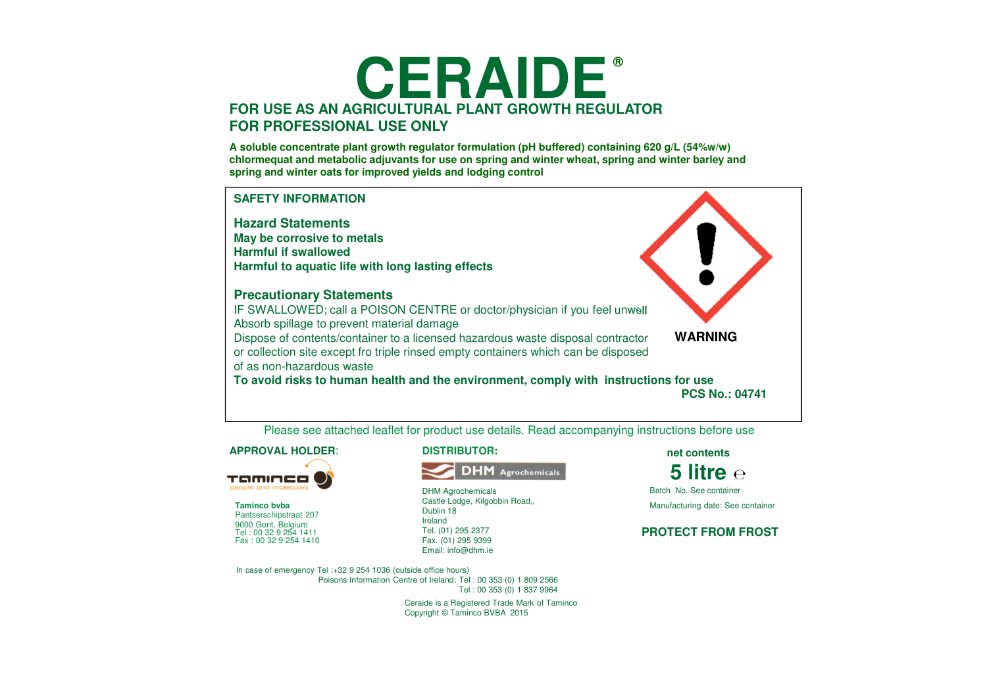# **CERAIDE®FOR USE AS AN AGRICULTURAL PLANT GROWTH REGULATORFOR PROFESSIONAL USE ONLY**

**A soluble concentrate plant growth regulator formulation (pH buffered) containing 620 g/L (54%w/w) chlormequat and metabolic adjuvants for use on spring and winter wheat, spring and winter barley and spring and winter oats for improved yields and lodging control**



Please see attached leaflet for product use details. Read accompanying instructions before use

#### **APPROVAL HOLDER**:



**Taminco bvba** Pantserschipstraat 207 9000 Gent, Belgium Fax : 00 32 9 254 1410Tel : 00 32 9 254 1411

**DISTRIBUTOR:**



DHM Agrochemicals Castle Lodge, Kilgobbin Road,, Dublin 18Ireland Tel. (01) 295 2377 Fax. (01) 295 9399Email: info@dhm.ie

**net contents**

**5 litre** Batch No. See containerManufacturing date: See container

#### **PROTECT FROM FROST**

In case of emergency Tel :+32 9 254 1036 (outside office hours) Poisons Information Centre of Ireland: Tel : 00 353 (0) 1 809 2566Tel : 00 353 (0) 1 837 9964

> Ceraide is a Registered Trade Mark of Taminco Copyright © Taminco BVBA 2015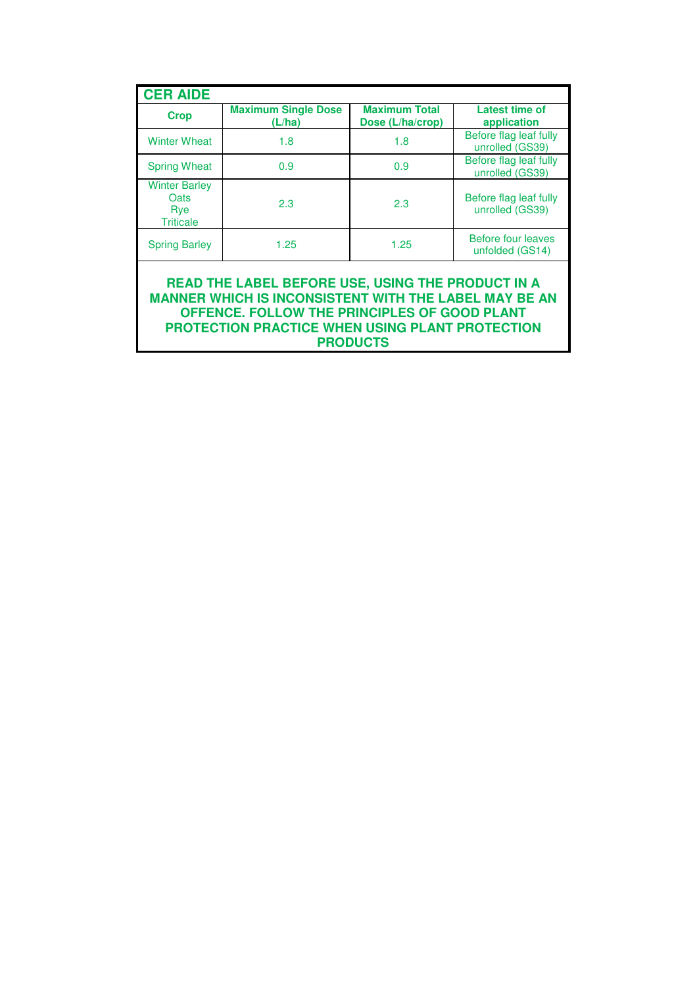| <b>CER AIDE</b>                                         |                                      |                                          |                                           |  |
|---------------------------------------------------------|--------------------------------------|------------------------------------------|-------------------------------------------|--|
| <b>Crop</b>                                             | <b>Maximum Single Dose</b><br>(L/ha) | <b>Maximum Total</b><br>Dose (L/ha/crop) | Latest time of<br>application             |  |
| <b>Winter Wheat</b>                                     | 1.8                                  | 1.8                                      | Before flag leaf fully<br>unrolled (GS39) |  |
| <b>Spring Wheat</b>                                     | 0.9                                  | 0.9                                      | Before flag leaf fully<br>unrolled (GS39) |  |
| <b>Winter Barley</b><br>Oats<br>Rye<br><b>Triticale</b> | 2.3                                  | 2.3                                      | Before flag leaf fully<br>unrolled (GS39) |  |
| <b>Spring Barley</b>                                    | 1.25                                 | 1.25                                     | Before four leaves<br>unfolded (GS14)     |  |
| READ THE LABEL BEFORE USE. USING THE PRODUCT IN A       |                                      |                                          |                                           |  |

**READ THE LABEL BEFORE USE, USING THE PRODUCT IN A MANNER WHICH IS INCONSISTENT WITH THE LABEL MAY BE AN OFFENCE. FOLLOW THE PRINCIPLES OF GOOD PLANT PROTECTION PRACTICE WHEN USING PLANT PROTECTION PRODUCTS**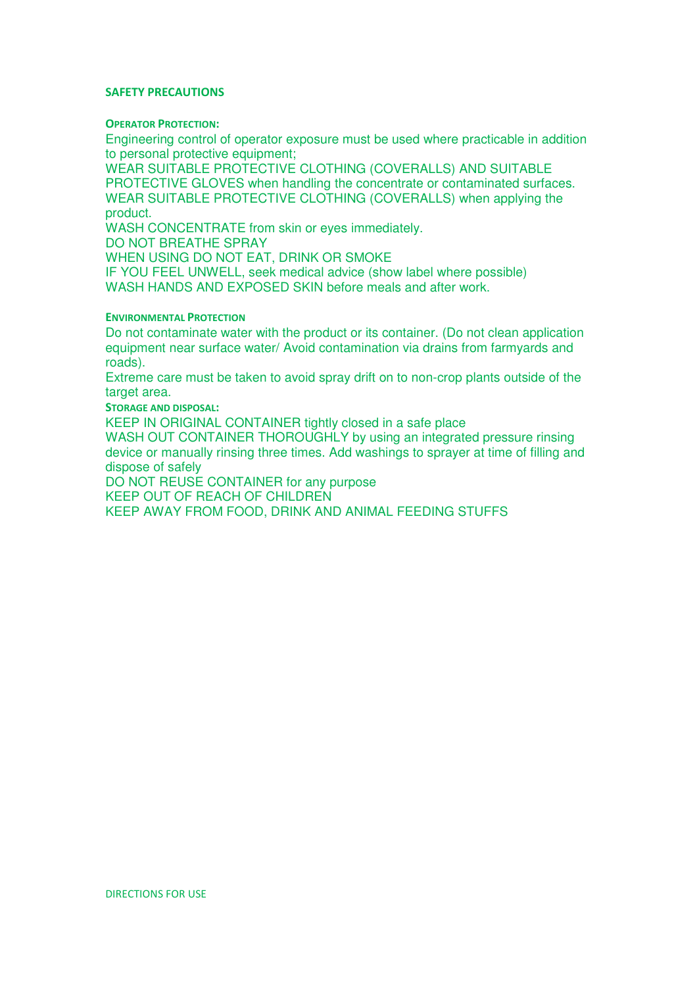#### SAFETY PRECAUTIONS

### OPERATOR PROTECTION:

Engineering control of operator exposure must be used where practicable in addition to personal protective equipment;

WEAR SUITABLE PROTECTIVE CLOTHING (COVERALLS) AND SUITABLE PROTECTIVE GLOVES when handling the concentrate or contaminated surfaces. WEAR SUITABLE PROTECTIVE CLOTHING (COVERALLS) when applying the product.

WASH CONCENTRATE from skin or eyes immediately.

DO NOT BREATHE SPRAY

WHEN USING DO NOT EAT, DRINK OR SMOKE

IF YOU FEEL UNWELL, seek medical advice (show label where possible) WASH HANDS AND EXPOSED SKIN before meals and after work.

### ENVIRONMENTAL PROTECTION

Do not contaminate water with the product or its container. (Do not clean application equipment near surface water/ Avoid contamination via drains from farmyards and roads).

Extreme care must be taken to avoid spray drift on to non-crop plants outside of the target area.

STORAGE AND DISPOSAL:

KEEP IN ORIGINAL CONTAINER tightly closed in a safe place

WASH OUT CONTAINER THOROUGHLY by using an integrated pressure rinsing device or manually rinsing three times. Add washings to sprayer at time of filling and dispose of safely

DO NOT REUSE CONTAINER for any purpose

KEEP OUT OF REACH OF CHILDREN

KEEP AWAY FROM FOOD, DRINK AND ANIMAL FEEDING STUFFS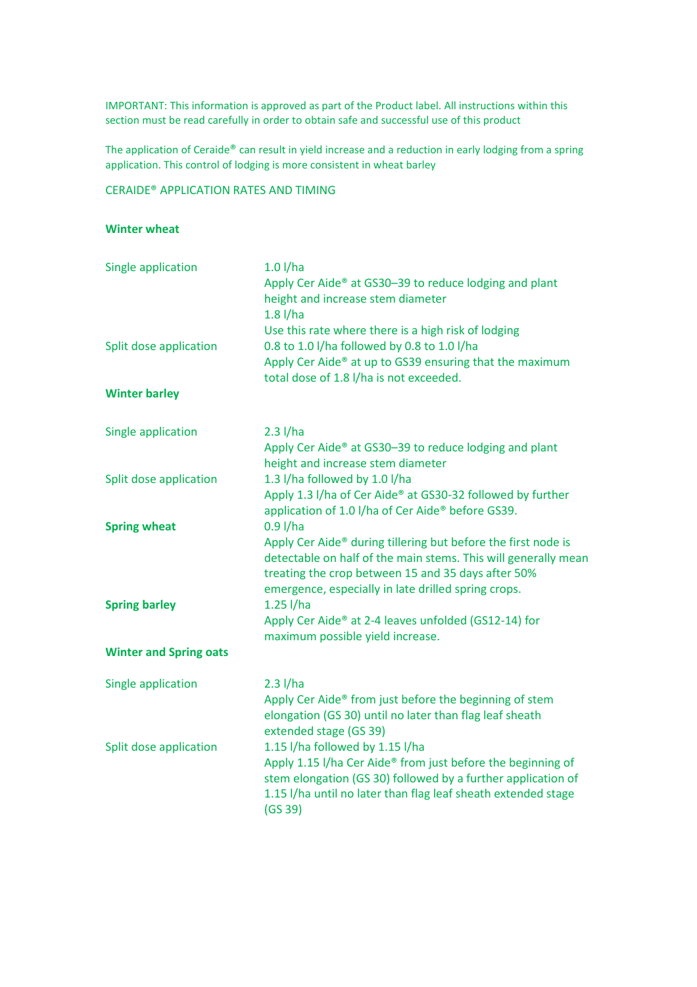IMPORTANT: This information is approved as part of the Product label. All instructions within this section must be read carefully in order to obtain safe and successful use of this product

The application of Ceraide® can result in yield increase and a reduction in early lodging from a spring application. This control of lodging is more consistent in wheat barley

## CERAIDE® APPLICATION RATES AND TIMING

## Winter wheat

| Single application            | $1.0$ l/ha<br>Apply Cer Aide® at GS30-39 to reduce lodging and plant              |  |  |
|-------------------------------|-----------------------------------------------------------------------------------|--|--|
|                               | height and increase stem diameter<br>$1.8$ l/ha                                   |  |  |
|                               | Use this rate where there is a high risk of lodging                               |  |  |
| Split dose application        | 0.8 to 1.0 l/ha followed by 0.8 to 1.0 l/ha                                       |  |  |
|                               | Apply Cer Aide® at up to GS39 ensuring that the maximum                           |  |  |
|                               | total dose of 1.8 l/ha is not exceeded.                                           |  |  |
| <b>Winter barley</b>          |                                                                                   |  |  |
| Single application            | $2.3$ l/ha                                                                        |  |  |
|                               | Apply Cer Aide® at GS30-39 to reduce lodging and plant                            |  |  |
|                               | height and increase stem diameter                                                 |  |  |
| Split dose application        | 1.3 I/ha followed by 1.0 I/ha                                                     |  |  |
|                               | Apply 1.3 I/ha of Cer Aide® at GS30-32 followed by further                        |  |  |
|                               | application of 1.0 l/ha of Cer Aide <sup>®</sup> before GS39.                     |  |  |
| <b>Spring wheat</b>           | $0.9$ l/ha                                                                        |  |  |
|                               | Apply Cer Aide® during tillering but before the first node is                     |  |  |
|                               | detectable on half of the main stems. This will generally mean                    |  |  |
|                               | treating the crop between 15 and 35 days after 50%                                |  |  |
| <b>Spring barley</b>          | emergence, especially in late drilled spring crops.<br>$1.25$ l/ha                |  |  |
|                               | Apply Cer Aide® at 2-4 leaves unfolded (GS12-14) for                              |  |  |
|                               | maximum possible yield increase.                                                  |  |  |
| <b>Winter and Spring oats</b> |                                                                                   |  |  |
| Single application            | $2.3$ l/ha                                                                        |  |  |
|                               | Apply Cer Aide® from just before the beginning of stem                            |  |  |
|                               | elongation (GS 30) until no later than flag leaf sheath<br>extended stage (GS 39) |  |  |
| Split dose application        | 1.15 I/ha followed by 1.15 I/ha                                                   |  |  |
|                               | Apply 1.15 I/ha Cer Aide® from just before the beginning of                       |  |  |
|                               | stem elongation (GS 30) followed by a further application of                      |  |  |
|                               | 1.15 I/ha until no later than flag leaf sheath extended stage                     |  |  |
|                               | (GS 39)                                                                           |  |  |